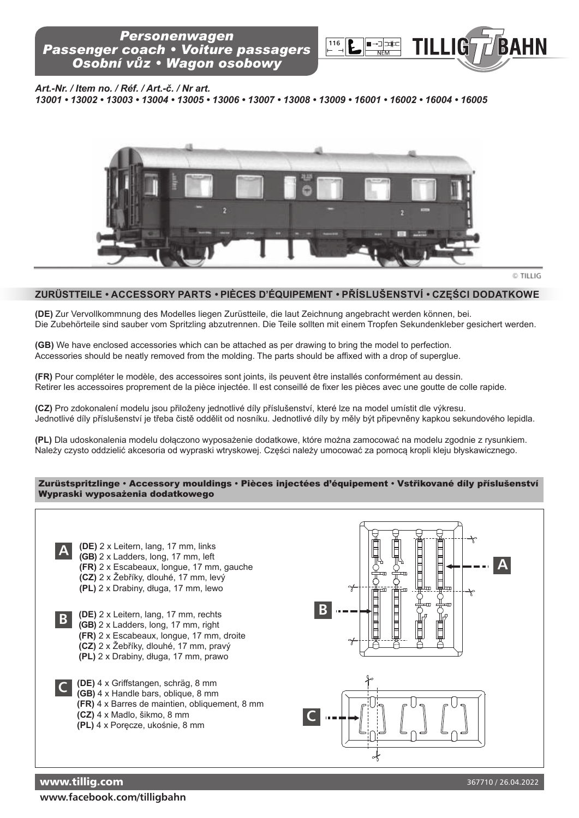

*Art.-Nr. / Item no. / Réf. / Art.-č. / Nr art.*

*13001 • 13002 • 13003 • 13004 • 13005 • 13006 • 13007 • 13008 • 13009 • 16001 • 16002 • 16004 • 16005*



## **ZURÜSTTEILE** *•* **AccESSoRy pARTS** *•* **pIÈcES D'ÉQUIpEMENT** *•* **Příslušenství** *•* **CZĘŚCI DODAtKOWe**

**(DE)** Zur Vervollkommnung des Modelles liegen Zurüstteile, die laut Zeichnung angebracht werden können, bei. Die Zubehörteile sind sauber vom Spritzling abzutrennen. Die Teile sollten mit einem Tropfen Sekundenkleber gesichert werden.

**(GB)** We have enclosed accessories which can be attached as per drawing to bring the model to perfection. Accessories should be neatly removed from the molding. The parts should be affixed with a drop of superglue.

**(FR)** Pour compléter le modèle, des accessoires sont joints, ils peuvent être installés conformément au dessin. Retirer les accessoires proprement de la pièce injectée. Il est conseillé de fixer les pièces avec une goutte de colle rapide.

**(cZ)** Pro zdokonalení modelu jsou přiloženy jednotlivé díly příslušenství, které lze na model umístit dle výkresu. Jednotlivé díly příslušenství je třeba čistě oddělit od nosníku. Jednotlivé díly by měly být připevněny kapkou sekundového lepidla.

**(pL)** Dla udoskonalenia modelu dołączono wyposażenie dodatkowe, które można zamocować na modelu zgodnie z rysunkiem. Należy czysto oddzielić akcesoria od wypraski wtryskowej. Części należy umocować za pomocą kropli kleju błyskawicznego.

## Zurüstspritzlinge **•** Accessory mouldings **•** Pièces injectées d'équipement **•** Vstřikované díly příslušenství Wypraski wyposażenia dodatkowego



**www.facebook.com/tilligbahn**